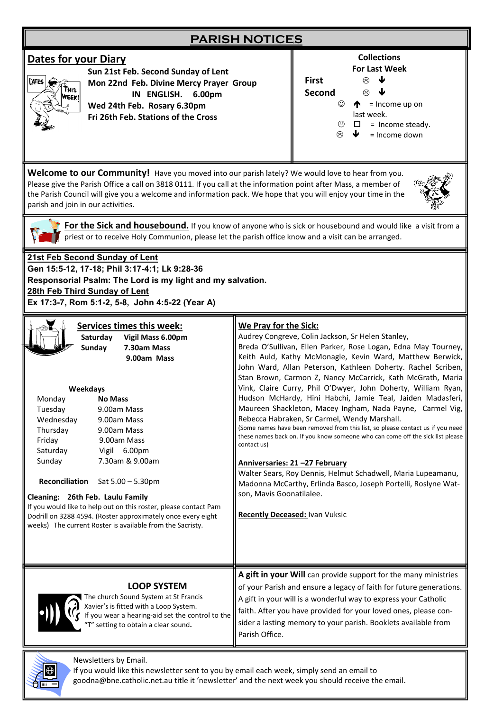

goodna@bne.catholic.net.au title it 'newsletter' and the next week you should receive the email.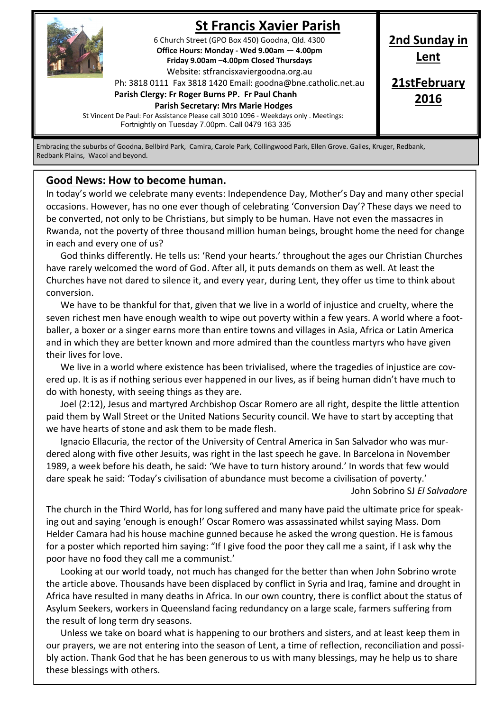

# **St Francis Xavier Parish**

6 Church Street (GPO Box 450) Goodna, Qld. 4300 **Office Hours: Monday - Wed 9.00am — 4.00pm Friday 9.00am –4.00pm Closed Thursdays**  Website: stfrancisxaviergoodna.org.au

Ph: 3818 0111 Fax 3818 1420 Email: goodna@bne.catholic.net.au

**Parish Clergy: Fr Roger Burns PP. Fr Paul Chanh Parish Secretary: Mrs Marie Hodges**

**Lent 21stFebruary 2016**

**2nd Sunday in** 

St Vincent De Paul: For Assistance Please call 3010 1096 - Weekdays only . Meetings: Fortnightly on Tuesday 7.00pm. Call 0479 163 335

Embracing the suburbs of Goodna, Bellbird Park, Camira, Carole Park, Collingwood Park, Ellen Grove. Gailes, Kruger, Redbank, Redbank Plains, Wacol and beyond.

## **Good News: How to become human.**

In today's world we celebrate many events: Independence Day, Mother's Day and many other special occasions. However, has no one ever though of celebrating 'Conversion Day'? These days we need to be converted, not only to be Christians, but simply to be human. Have not even the massacres in Rwanda, not the poverty of three thousand million human beings, brought home the need for change in each and every one of us?

God thinks differently. He tells us: 'Rend your hearts.' throughout the ages our Christian Churches have rarely welcomed the word of God. After all, it puts demands on them as well. At least the Churches have not dared to silence it, and every year, during Lent, they offer us time to think about conversion.

We have to be thankful for that, given that we live in a world of injustice and cruelty, where the seven richest men have enough wealth to wipe out poverty within a few years. A world where a footballer, a boxer or a singer earns more than entire towns and villages in Asia, Africa or Latin America and in which they are better known and more admired than the countless martyrs who have given their lives for love.

We live in a world where existence has been trivialised, where the tragedies of injustice are covered up. It is as if nothing serious ever happened in our lives, as if being human didn't have much to do with honesty, with seeing things as they are.

Joel (2:12), Jesus and martyred Archbishop Oscar Romero are all right, despite the little attention paid them by Wall Street or the United Nations Security council. We have to start by accepting that we have hearts of stone and ask them to be made flesh.

Ignacio Ellacuria, the rector of the University of Central America in San Salvador who was murdered along with five other Jesuits, was right in the last speech he gave. In Barcelona in November 1989, a week before his death, he said: 'We have to turn history around.' In words that few would dare speak he said: 'Today's civilisation of abundance must become a civilisation of poverty.'

John Sobrino SJ *El Salvadore*

The church in the Third World, has for long suffered and many have paid the ultimate price for speaking out and saying 'enough is enough!' Oscar Romero was assassinated whilst saying Mass. Dom Helder Camara had his house machine gunned because he asked the wrong question. He is famous for a poster which reported him saying: "If I give food the poor they call me a saint, if I ask why the poor have no food they call me a communist.'

Looking at our world toady, not much has changed for the better than when John Sobrino wrote the article above. Thousands have been displaced by conflict in Syria and Iraq, famine and drought in Africa have resulted in many deaths in Africa. In our own country, there is conflict about the status of Asylum Seekers, workers in Queensland facing redundancy on a large scale, farmers suffering from the result of long term dry seasons.

Unless we take on board what is happening to our brothers and sisters, and at least keep them in our prayers, we are not entering into the season of Lent, a time of reflection, reconciliation and possibly action. Thank God that he has been generous to us with many blessings, may he help us to share these blessings with others.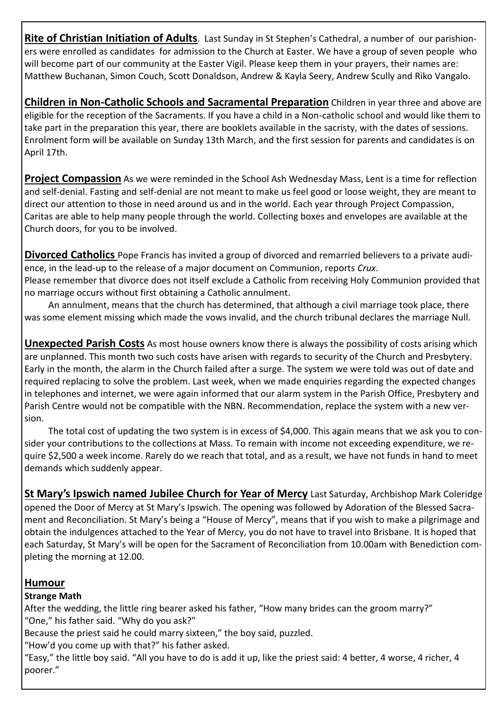**Rite of Christian Initiation of Adults**. Last Sunday in St Stephen's Cathedral, a number of our parishioners were enrolled as candidates for admission to the Church at Easter. We have a group of seven people who will become part of our community at the Easter Vigil. Please keep them in your prayers, their names are: Matthew Buchanan, Simon Couch, Scott Donaldson, Andrew & Kayla Seery, Andrew Scully and Riko Vangalo.

**Children in Non-Catholic Schools and Sacramental Preparation** Children in year three and above are eligible for the reception of the Sacraments. If you have a child in a Non-catholic school and would like them to take part in the preparation this year, there are booklets available in the sacristy, with the dates of sessions. Enrolment form will be available on Sunday 13th March, and the first session for parents and candidates is on April 17th.

**Project Compassion** As we were reminded in the School Ash Wednesday Mass, Lent is a time for reflection and self-denial. Fasting and self-denial are not meant to make us feel good or loose weight, they are meant to direct our attention to those in need around us and in the world. Each year through Project Compassion, Caritas are able to help many people through the world. Collecting boxes and envelopes are available at the Church doors, for you to be involved.

**Divorced Catholics** Pope Francis has invited a group of divorced and remarried believers to a private audience, in the lead-up to the release of a major document on Communion, reports *Crux*. Please remember that divorce does not itself exclude a Catholic from receiving Holy Communion provided that no marriage occurs without first obtaining a Catholic annulment.

An annulment, means that the church has determined, that although a civil marriage took place, there was some element missing which made the vows invalid, and the church tribunal declares the marriage Null.

**Unexpected Parish Costs** As most house owners know there is always the possibility of costs arising which are unplanned. This month two such costs have arisen with regards to security of the Church and Presbytery. Early in the month, the alarm in the Church failed after a surge. The system we were told was out of date and required replacing to solve the problem. Last week, when we made enquiries regarding the expected changes in telephones and internet, we were again informed that our alarm system in the Parish Office, Presbytery and Parish Centre would not be compatible with the NBN. Recommendation, replace the system with a new version.

The total cost of updating the two system is in excess of \$4,000. This again means that we ask you to consider your contributions to the collections at Mass. To remain with income not exceeding expenditure, we require \$2,500 a week income. Rarely do we reach that total, and as a result, we have not funds in hand to meet demands which suddenly appear.

**St Mary's Ipswich named Jubilee Church for Year of Mercy** Last Saturday, Archbishop Mark Coleridge opened the Door of Mercy at St Mary's Ipswich. The opening was followed by Adoration of the Blessed Sacrament and Reconciliation. St Mary's being a "House of Mercy", means that if you wish to make a pilgrimage and obtain the indulgences attached to the Year of Mercy, you do not have to travel into Brisbane. It is hoped that each Saturday, St Mary's will be open for the Sacrament of Reconciliation from 10.00am with Benediction completing the morning at 12.00.

# **Humour**

## **Strange Math**

After the wedding, the little ring bearer asked his father, "How many brides can the groom marry?" "One," his father said. "Why do you ask?"

Because the priest said he could marry sixteen," the boy said, puzzled.

"How'd you come up with that?" his father asked.

"Easy," the little boy said. "All you have to do is add it up, like the priest said: 4 better, 4 worse, 4 richer, 4 poorer."